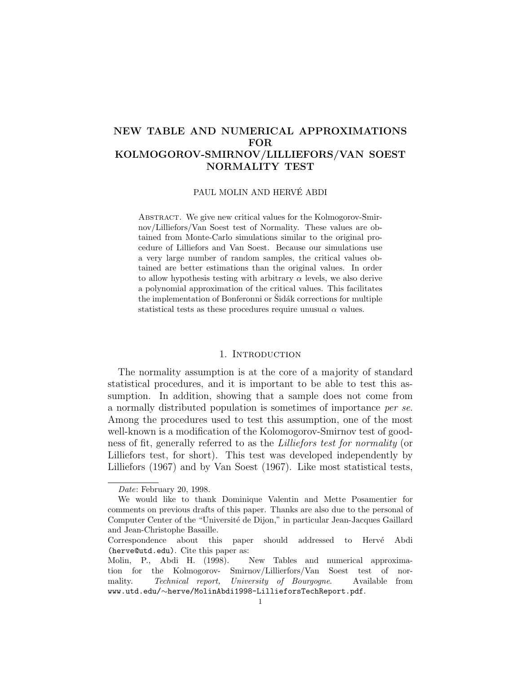# NEW TABLE AND NUMERICAL APPROXIMATIONS FOR KOLMOGOROV-SMIRNOV/LILLIEFORS/VAN SOEST NORMALITY TEST

# PAUL MOLIN AND HERVÉ ABDI

ABSTRACT. We give new critical values for the Kolmogorov-Smirnov/Lilliefors/Van Soest test of Normality. These values are obtained from Monte-Carlo simulations similar to the original procedure of Lilliefors and Van Soest. Because our simulations use a very large number of random samples, the critical values obtained are better estimations than the original values. In order to allow hypothesis testing with arbitrary  $\alpha$  levels, we also derive a polynomial approximation of the critical values. This facilitates the implementation of Bonferonni or Šidák corrections for multiple statistical tests as these procedures require unusual  $\alpha$  values.

#### 1. INTRODUCTION

The normality assumption is at the core of a majority of standard statistical procedures, and it is important to be able to test this assumption. In addition, showing that a sample does not come from a normally distributed population is sometimes of importance per se. Among the procedures used to test this assumption, one of the most well-known is a modification of the Kolomogorov-Smirnov test of goodness of fit, generally referred to as the Lilliefors test for normality (or Lilliefors test, for short). This test was developed independently by Lilliefors (1967) and by Van Soest (1967). Like most statistical tests,

Date: February 20, 1998.

We would like to thank Dominique Valentin and Mette Posamentier for comments on previous drafts of this paper. Thanks are also due to the personal of Computer Center of the "Université de Dijon," in particular Jean-Jacques Gaillard and Jean-Christophe Basaille.

Correspondence about this paper should addressed to Hervé Abdi (herve@utd.edu). Cite this paper as:

Molin, P., Abdi H. (1998). New Tables and numerical approximation for the Kolmogorov- Smirnov/Lillierfors/Van Soest test of normality. Technical report, University of Bourgogne. Available from www.utd.edu/∼herve/MolinAbdi1998-LillieforsTechReport.pdf.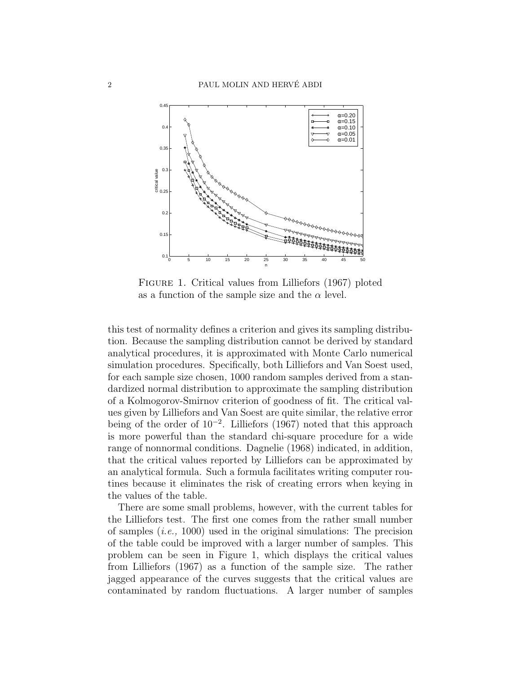

Figure 1. Critical values from Lilliefors (1967) ploted as a function of the sample size and the  $\alpha$  level.

this test of normality defines a criterion and gives its sampling distribution. Because the sampling distribution cannot be derived by standard analytical procedures, it is approximated with Monte Carlo numerical simulation procedures. Specifically, both Lilliefors and Van Soest used, for each sample size chosen, 1000 random samples derived from a standardized normal distribution to approximate the sampling distribution of a Kolmogorov-Smirnov criterion of goodness of fit. The critical values given by Lilliefors and Van Soest are quite similar, the relative error being of the order of 10<sup>−</sup><sup>2</sup> . Lilliefors (1967) noted that this approach is more powerful than the standard chi-square procedure for a wide range of nonnormal conditions. Dagnelie (1968) indicated, in addition, that the critical values reported by Lilliefors can be approximated by an analytical formula. Such a formula facilitates writing computer routines because it eliminates the risk of creating errors when keying in the values of the table.

There are some small problems, however, with the current tables for the Lilliefors test. The first one comes from the rather small number of samples (i.e., 1000) used in the original simulations: The precision of the table could be improved with a larger number of samples. This problem can be seen in Figure 1, which displays the critical values from Lilliefors (1967) as a function of the sample size. The rather jagged appearance of the curves suggests that the critical values are contaminated by random fluctuations. A larger number of samples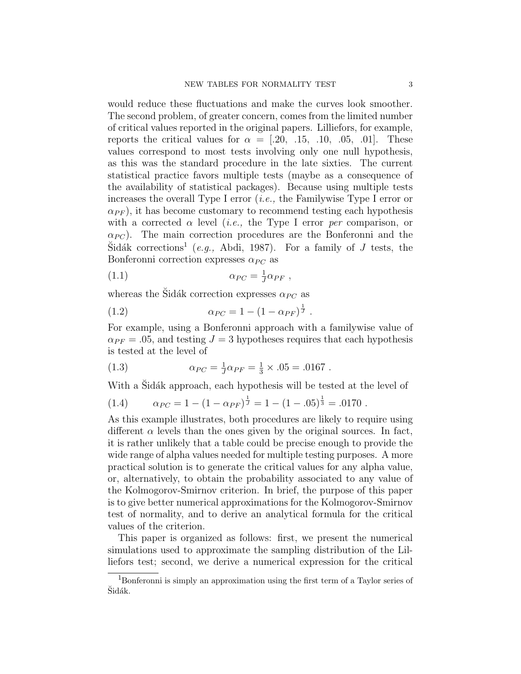would reduce these fluctuations and make the curves look smoother. The second problem, of greater concern, comes from the limited number of critical values reported in the original papers. Lilliefors, for example, reports the critical values for  $\alpha = [.20, .15, .10, .05, .01]$ . These values correspond to most tests involving only one null hypothesis, as this was the standard procedure in the late sixties. The current statistical practice favors multiple tests (maybe as a consequence of the availability of statistical packages). Because using multiple tests increases the overall Type I error *(i.e., the Familywise Type I error or*  $\alpha_{PF}$ , it has become customary to recommend testing each hypothesis with a corrected  $\alpha$  level (*i.e.*, the Type I error *per* comparison, or  $\alpha_{PC}$ ). The main correction procedures are the Bonferonni and the  $\text{Sidák corrections}^1$  (e.g., Abdi, 1987). For a family of J tests, the Bonferonni correction expresses  $\alpha_{PC}$  as

$$
\alpha_{PC} = \frac{1}{J} \alpha_{PF} \ ,
$$

whereas the Sidák correction expresses  $\alpha_{PC}$  as

(1.2) 
$$
\alpha_{PC} = 1 - (1 - \alpha_{PF})^{\frac{1}{J}}.
$$

For example, using a Bonferonni approach with a familywise value of  $\alpha_{PF} = .05$ , and testing  $J = 3$  hypotheses requires that each hypothesis is tested at the level of

(1.3) 
$$
\alpha_{PC} = \frac{1}{J} \alpha_{PF} = \frac{1}{3} \times .05 = .0167.
$$

With a Sidák approach, each hypothesis will be tested at the level of

(1.4) 
$$
\alpha_{PC} = 1 - (1 - \alpha_{PF})^{\frac{1}{J}} = 1 - (1 - .05)^{\frac{1}{3}} = .0170.
$$

As this example illustrates, both procedures are likely to require using different  $\alpha$  levels than the ones given by the original sources. In fact, it is rather unlikely that a table could be precise enough to provide the wide range of alpha values needed for multiple testing purposes. A more practical solution is to generate the critical values for any alpha value, or, alternatively, to obtain the probability associated to any value of the Kolmogorov-Smirnov criterion. In brief, the purpose of this paper is to give better numerical approximations for the Kolmogorov-Smirnov test of normality, and to derive an analytical formula for the critical values of the criterion.

This paper is organized as follows: first, we present the numerical simulations used to approximate the sampling distribution of the Lilliefors test; second, we derive a numerical expression for the critical

<sup>1</sup>Bonferonni is simply an approximation using the first term of a Taylor series of Šidák.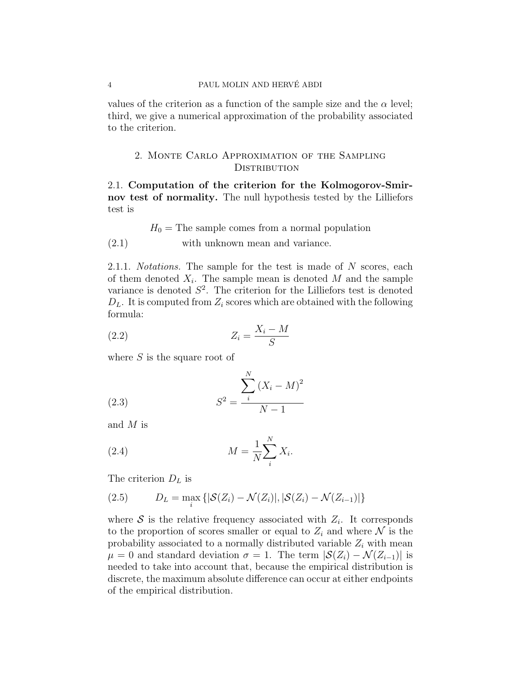values of the criterion as a function of the sample size and the  $\alpha$  level; third, we give a numerical approximation of the probability associated to the criterion.

# 2. Monte Carlo Approximation of the Sampling DISTRIBUTION

2.1. Computation of the criterion for the Kolmogorov-Smirnov test of normality. The null hypothesis tested by the Lilliefors test is

 $H_0$  = The sample comes from a normal population  $(2.1)$  with unknown mean and variance.

2.1.1. *Notations*. The sample for the test is made of N scores, each of them denoted  $X_i$ . The sample mean is denoted M and the sample variance is denoted  $S^2$ . The criterion for the Lilliefors test is denoted  $D_L$ . It is computed from  $Z_i$  scores which are obtained with the following formula:

$$
(2.2) \t\t Z_i = \frac{X_i - M}{S}
$$

where  $S$  is the square root of

(2.3) 
$$
S^{2} = \frac{\sum_{i}^{N} (X_{i} - M)^{2}}{N - 1}
$$

and M is

$$
(2.4) \t\t\t M = \frac{1}{N} \sum_{i}^{N} X_i.
$$

The criterion  $D_L$  is

(2.5) 
$$
D_L = \max_i \{ |\mathcal{S}(Z_i) - \mathcal{N}(Z_i)|, |\mathcal{S}(Z_i) - \mathcal{N}(Z_{i-1})| \}
$$

where  $S$  is the relative frequency associated with  $Z_i$ . It corresponds to the proportion of scores smaller or equal to  $Z_i$  and where N is the probability associated to a normally distributed variable  $Z_i$  with mean  $\mu = 0$  and standard deviation  $\sigma = 1$ . The term  $|\mathcal{S}(Z_i) - \mathcal{N}(Z_{i-1})|$  is needed to take into account that, because the empirical distribution is discrete, the maximum absolute difference can occur at either endpoints of the empirical distribution.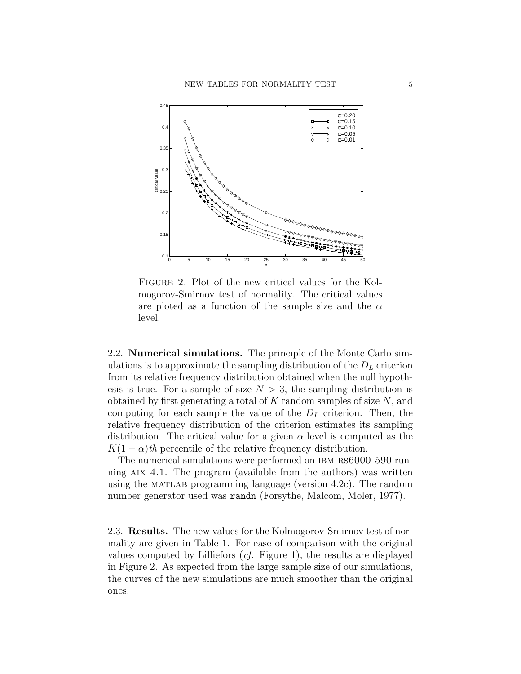

Figure 2. Plot of the new critical values for the Kolmogorov-Smirnov test of normality. The critical values are ploted as a function of the sample size and the  $\alpha$ level.

2.2. Numerical simulations. The principle of the Monte Carlo simulations is to approximate the sampling distribution of the  $D<sub>L</sub>$  criterion from its relative frequency distribution obtained when the null hypothesis is true. For a sample of size  $N > 3$ , the sampling distribution is obtained by first generating a total of  $K$  random samples of size  $N$ , and computing for each sample the value of the  $D<sub>L</sub>$  criterion. Then, the relative frequency distribution of the criterion estimates its sampling distribution. The critical value for a given  $\alpha$  level is computed as the  $K(1 - \alpha)$ th percentile of the relative frequency distribution.

The numerical simulations were performed on IBM RS6000-590 running  $\overline{A}$  and  $\overline{A}$ . The program (available from the authors) was written using the MATLAB programming language (version  $4.2c$ ). The random number generator used was randn (Forsythe, Malcom, Moler, 1977).

2.3. Results. The new values for the Kolmogorov-Smirnov test of normality are given in Table 1. For ease of comparison with the original values computed by Lilliefors (cf. Figure 1), the results are displayed in Figure 2. As expected from the large sample size of our simulations, the curves of the new simulations are much smoother than the original ones.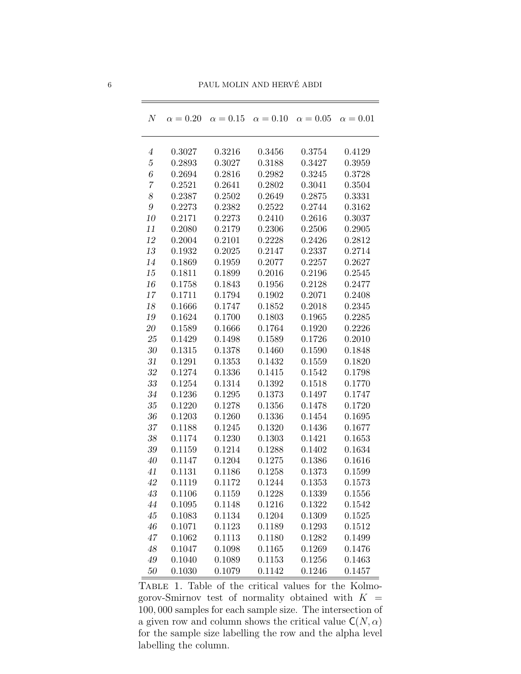| N                | $\alpha = 0.20$ | $\alpha = 0.15$ | $\alpha = 0.10$ | $\alpha = 0.05$ | $\alpha = 0.01$ |
|------------------|-----------------|-----------------|-----------------|-----------------|-----------------|
|                  |                 |                 |                 |                 |                 |
| $\boldsymbol{4}$ | 0.3027          | 0.3216          | 0.3456          | 0.3754          | 0.4129          |
| $\sqrt{5}$       | 0.2893          | 0.3027          | 0.3188          | 0.3427          | 0.3959          |
| $\it 6$          | 0.2694          | 0.2816          | 0.2982          | 0.3245          | 0.3728          |
| $\overline{7}$   | 0.2521          | 0.2641          | 0.2802          | 0.3041          | 0.3504          |
| $\boldsymbol{8}$ | 0.2387          | 0.2502          | 0.2649          | 0.2875          | 0.3331          |
| $\boldsymbol{g}$ | 0.2273          | 0.2382          | 0.2522          | 0.2744          | 0.3162          |
| 10               | 0.2171          | 0.2273          | 0.2410          | 0.2616          | 0.3037          |
| 11               | 0.2080          | 0.2179          | 0.2306          | 0.2506          | 0.2905          |
| 12               | 0.2004          | 0.2101          | 0.2228          | 0.2426          | 0.2812          |
| 13               | 0.1932          | 0.2025          | 0.2147          | 0.2337          | 0.2714          |
| 14               | 0.1869          | 0.1959          | 0.2077          | 0.2257          | 0.2627          |
| 15               | 0.1811          | 0.1899          | 0.2016          | 0.2196          | 0.2545          |
| 16               | 0.1758          | 0.1843          | 0.1956          | 0.2128          | 0.2477          |
| 17               | 0.1711          | 0.1794          | 0.1902          | 0.2071          | 0.2408          |
| 18               | 0.1666          | 0.1747          | 0.1852          | 0.2018          | 0.2345          |
| 19               | 0.1624          | 0.1700          | 0.1803          | 0.1965          | 0.2285          |
| $20\,$           | 0.1589          | 0.1666          | 0.1764          | 0.1920          | 0.2226          |
| 25               | 0.1429          | 0.1498          | 0.1589          | 0.1726          | 0.2010          |
| $30\,$           | 0.1315          | 0.1378          | 0.1460          | 0.1590          | 0.1848          |
| $31\,$           | 0.1291          | 0.1353          | 0.1432          | 0.1559          | 0.1820          |
| 32               | 0.1274          | 0.1336          | 0.1415          | 0.1542          | 0.1798          |
| $33\,$           | 0.1254          | 0.1314          | 0.1392          | 0.1518          | 0.1770          |
| 34               | 0.1236          | 0.1295          | 0.1373          | 0.1497          | 0.1747          |
| $35\,$           | 0.1220          | 0.1278          | 0.1356          | 0.1478          | 0.1720          |
| 36               | 0.1203          | 0.1260          | 0.1336          | 0.1454          | 0.1695          |
| $37\,$           | 0.1188          | 0.1245          | 0.1320          | 0.1436          | 0.1677          |
| $38\,$           | 0.1174          | 0.1230          | 0.1303          | 0.1421          | 0.1653          |
| 39               | 0.1159          | 0.1214          | 0.1288          | 0.1402          | 0.1634          |
| 40               | 0.1147          | 0.1204          | 0.1275          | 0.1386          | 0.1616          |
| 41               | 0.1131          | 0.1186          | 0.1258          | 0.1373          | 0.1599          |
| 42               | 0.1119          | 0.1172          | 0.1244          | 0.1353          | 0.1573          |
| 43               | 0.1106          | 0.1159          | 0.1228          | 0.1339          | 0.1556          |
| 44               | 0.1095          | 0.1148          | 0.1216          | 0.1322          | 0.1542          |
| $45\,$           | 0.1083          | 0.1134          | 0.1204          | 0.1309          | 0.1525          |
| 46               | 0.1071          | 0.1123          | 0.1189          | 0.1293          | 0.1512          |
| 47               | 0.1062          | 0.1113          | 0.1180          | 0.1282          | 0.1499          |
| $48\,$           | 0.1047          | 0.1098          | 0.1165          | 0.1269          | 0.1476          |
| $49\,$           | 0.1040          | 0.1089          | 0.1153          | 0.1256          | 0.1463          |
| $50\,$           | 0.1030          | 0.1079          | 0.1142          | 0.1246          | 0.1457          |

Table 1. Table of the critical values for the Kolmogorov-Smirnov test of normality obtained with  $K =$ , 000 samples for each sample size. The intersection of a given row and column shows the critical value  $\mathsf{C}(N, \alpha)$ for the sample size labelling the row and the alpha level labelling the column.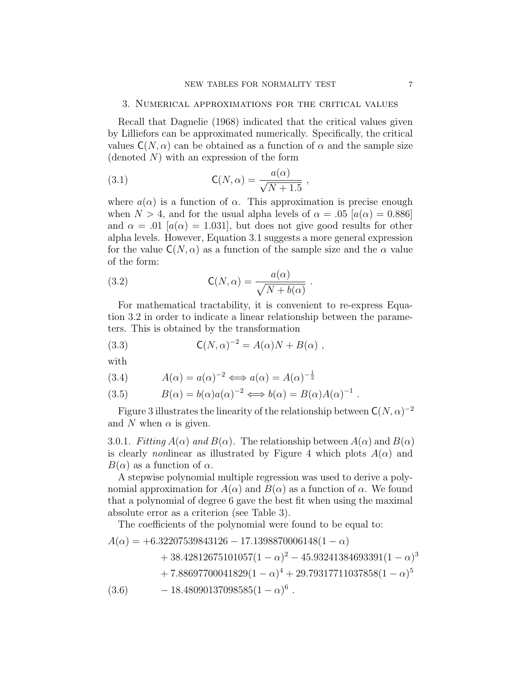### 3. Numerical approximations for the critical values

Recall that Dagnelie (1968) indicated that the critical values given by Lilliefors can be approximated numerically. Specifically, the critical values  $C(N, \alpha)$  can be obtained as a function of  $\alpha$  and the sample size (denoted  $N$ ) with an expression of the form

(3.1) 
$$
\mathsf{C}(N,\alpha) = \frac{a(\alpha)}{\sqrt{N+1.5}} ,
$$

where  $a(\alpha)$  is a function of  $\alpha$ . This approximation is precise enough when  $N > 4$ , and for the usual alpha levels of  $\alpha = .05$  [ $a(\alpha) = 0.886$ ] and  $\alpha = .01$  [ $a(\alpha) = 1.031$ ], but does not give good results for other alpha levels. However, Equation 3.1 suggests a more general expression for the value  $C(N, \alpha)$  as a function of the sample size and the  $\alpha$  value of the form:

(3.2) 
$$
\mathsf{C}(N,\alpha) = \frac{a(\alpha)}{\sqrt{N + b(\alpha)}}.
$$

For mathematical tractability, it is convenient to re-express Equation 3.2 in order to indicate a linear relationship between the parameters. This is obtained by the transformation

(3.3) 
$$
C(N, \alpha)^{-2} = A(\alpha)N + B(\alpha) ,
$$

with

$$
(3.4) \qquad A(\alpha) = a(\alpha)^{-2} \Longleftrightarrow a(\alpha) = A(\alpha)^{-\frac{1}{2}}
$$

(3.5) 
$$
B(\alpha) = b(\alpha)a(\alpha)^{-2} \Longleftrightarrow b(\alpha) = B(\alpha)A(\alpha)^{-1}.
$$

Figure 3 illustrates the linearity of the relationship between  $C(N, \alpha)^{-2}$ and N when  $\alpha$  is given.

3.0.1. Fitting  $A(\alpha)$  and  $B(\alpha)$ . The relationship between  $A(\alpha)$  and  $B(\alpha)$ is clearly nonlinear as illustrated by Figure 4 which plots  $A(\alpha)$  and  $B(\alpha)$  as a function of  $\alpha$ .

A stepwise polynomial multiple regression was used to derive a polynomial approximation for  $A(\alpha)$  and  $B(\alpha)$  as a function of  $\alpha$ . We found that a polynomial of degree 6 gave the best fit when using the maximal absolute error as a criterion (see Table 3).

The coefficients of the polynomial were found to be equal to:

$$
A(\alpha) = +6.32207539843126 - 17.1398870006148(1 - \alpha) + 38.42812675101057(1 - \alpha)^2 - 45.93241384693391(1 - \alpha)^3 + 7.88697700041829(1 - \alpha)^4 + 29.79317711037858(1 - \alpha)^5 - 18.48090137098585(1 - \alpha)^6.
$$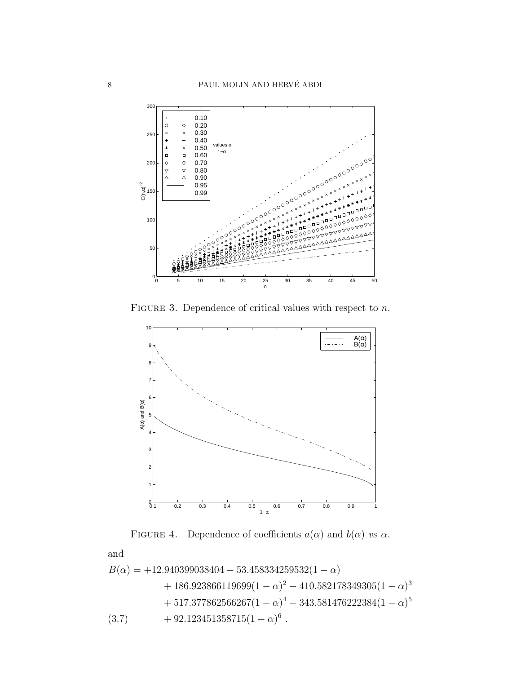

FIGURE 3. Dependence of critical values with respect to  $n$ .



FIGURE 4. Dependence of coefficients  $a(\alpha)$  and  $b(\alpha)$  vs  $\alpha$ .

and

$$
B(\alpha) = +12.940399038404 - 53.458334259532(1 - \alpha) + 186.923866119699(1 - \alpha)^2 - 410.582178349305(1 - \alpha)^3 + 517.377862566267(1 - \alpha)^4 - 343.581476222384(1 - \alpha)^5 (3.7) + 92.123451358715(1 - \alpha)^6.
$$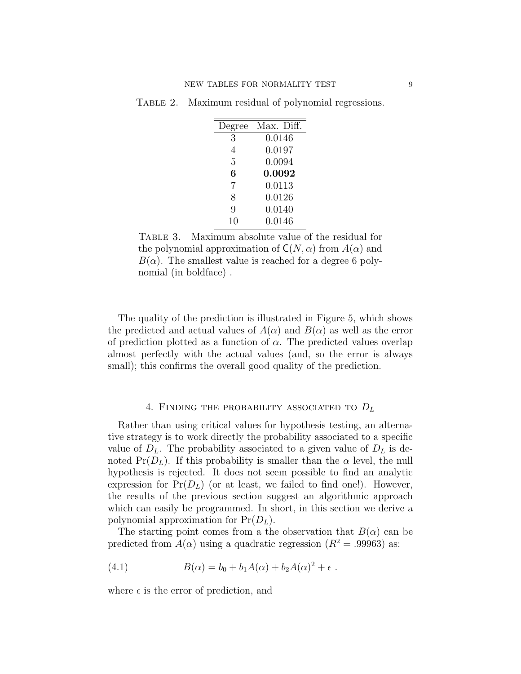TABLE 2. Maximum residual of polynomial regressions.

| Degree | Max. Diff. |
|--------|------------|
| 3      | 0.0146     |
| 4      | 0.0197     |
| 5      | 0.0094     |
| 6      | 0.0092     |
| 7      | 0.0113     |
| 8      | 0.0126     |
| 9      | 0.0140     |
| 10     | 0.0146     |

Table 3. Maximum absolute value of the residual for the polynomial approximation of  $C(N, \alpha)$  from  $A(\alpha)$  and  $B(\alpha)$ . The smallest value is reached for a degree 6 polynomial (in boldface) .

The quality of the prediction is illustrated in Figure 5, which shows the predicted and actual values of  $A(\alpha)$  and  $B(\alpha)$  as well as the error of prediction plotted as a function of  $\alpha$ . The predicted values overlap almost perfectly with the actual values (and, so the error is always small); this confirms the overall good quality of the prediction.

### 4. FINDING THE PROBABILITY ASSOCIATED TO  $D_L$

Rather than using critical values for hypothesis testing, an alternative strategy is to work directly the probability associated to a specific value of  $D_L$ . The probability associated to a given value of  $D_L$  is denoted  $Pr(D_L)$ . If this probability is smaller than the  $\alpha$  level, the null hypothesis is rejected. It does not seem possible to find an analytic expression for  $Pr(D_L)$  (or at least, we failed to find one!). However, the results of the previous section suggest an algorithmic approach which can easily be programmed. In short, in this section we derive a polynomial approximation for  $Pr(D_L)$ .

The starting point comes from a the observation that  $B(\alpha)$  can be predicted from  $A(\alpha)$  using a quadratic regression  $(R^2 = .99963)$  as:

(4.1) 
$$
B(\alpha) = b_0 + b_1 A(\alpha) + b_2 A(\alpha)^2 + \epsilon.
$$

where  $\epsilon$  is the error of prediction, and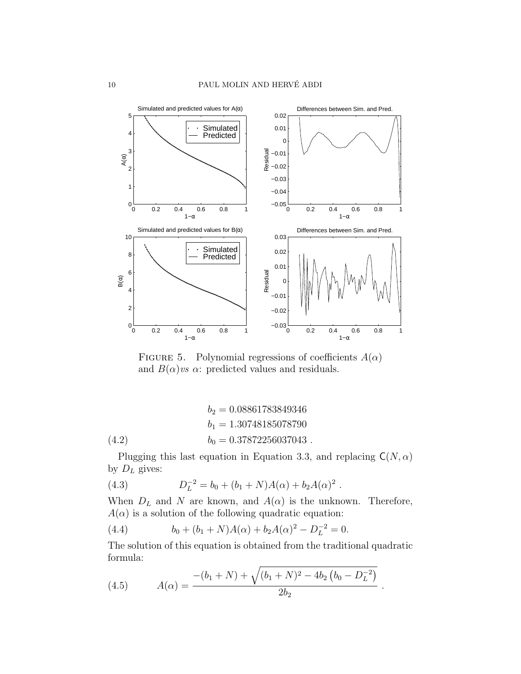

FIGURE 5. Polynomial regressions of coefficients  $A(\alpha)$ and  $B(\alpha)$ *vs*  $\alpha$ : predicted values and residuals.

(4.2) 
$$
b_2 = 0.08861783849346
$$

$$
b_1 = 1.30748185078790
$$

$$
b_0 = 0.37872256037043
$$

Plugging this last equation in Equation 3.3, and replacing  $C(N, \alpha)$ by  $D_L$  gives:

(4.3) 
$$
D_L^{-2} = b_0 + (b_1 + N)A(\alpha) + b_2A(\alpha)^2.
$$

When  $D_L$  and N are known, and  $A(\alpha)$  is the unknown. Therefore,  $A(\alpha)$  is a solution of the following quadratic equation:

(4.4) 
$$
b_0 + (b_1 + N)A(\alpha) + b_2A(\alpha)^2 - D_L^{-2} = 0.
$$

The solution of this equation is obtained from the traditional quadratic formula:

(4.5) 
$$
A(\alpha) = \frac{-(b_1 + N) + \sqrt{(b_1 + N)^2 - 4b_2(b_0 - D_L^{-2})}}{2b_2}.
$$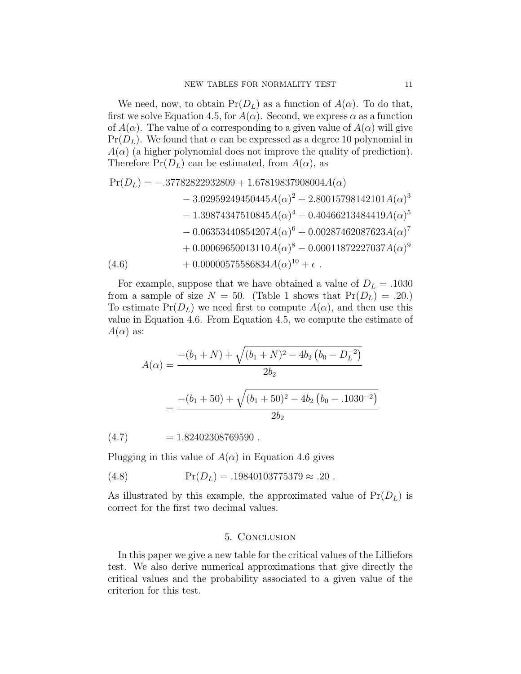We need, now, to obtain  $Pr(D_L)$  as a function of  $A(\alpha)$ . To do that, first we solve Equation 4.5, for  $A(\alpha)$ . Second, we express  $\alpha$  as a function of  $A(\alpha)$ . The value of  $\alpha$  corresponding to a given value of  $A(\alpha)$  will give  $Pr(D_L)$ . We found that  $\alpha$  can be expressed as a degree 10 polynomial in  $A(\alpha)$  (a higher polynomial does not improve the quality of prediction). Therefore  $Pr(D_L)$  can be estimated, from  $A(\alpha)$ , as

$$
Pr(D_L) = -.37782822932809 + 1.67819837908004A(\alpha) - 3.02959249450445A(\alpha)^{2} + 2.80015798142101A(\alpha)^{3} - 1.39874347510845A(\alpha)^{4} + 0.40466213484419A(\alpha)^{5} - 0.06353440854207A(\alpha)^{6} + 0.00287462087623A(\alpha)^{7} + 0.00069650013110A(\alpha)^{8} - 0.00011872227037A(\alpha)^{9} + 0.00000575586834A(\alpha)^{10} + \epsilon.
$$

For example, suppose that we have obtained a value of  $D<sub>L</sub> = .1030$ from a sample of size  $N = 50$ . (Table 1 shows that  $Pr(D_L) = .20$ .) To estimate  $Pr(D_L)$  we need first to compute  $A(\alpha)$ , and then use this value in Equation 4.6. From Equation 4.5, we compute the estimate of  $A(\alpha)$  as:

$$
A(\alpha) = \frac{-(b_1 + N) + \sqrt{(b_1 + N)^2 - 4b_2 (b_0 - D_L^{-2})}}{2b_2}
$$
  
= 
$$
\frac{-(b_1 + 50) + \sqrt{(b_1 + 50)^2 - 4b_2 (b_0 - .1030^{-2})}}{2b_2}
$$

 $(4.7)$  = 1.82402308769590.

Plugging in this value of  $A(\alpha)$  in Equation 4.6 gives

(4.8) Pr(DL) = .19840103775379 ≈ .20 .

As illustrated by this example, the approximated value of  $Pr(D_L)$  is correct for the first two decimal values.

#### 5. Conclusion

In this paper we give a new table for the critical values of the Lilliefors test. We also derive numerical approximations that give directly the critical values and the probability associated to a given value of the criterion for this test.